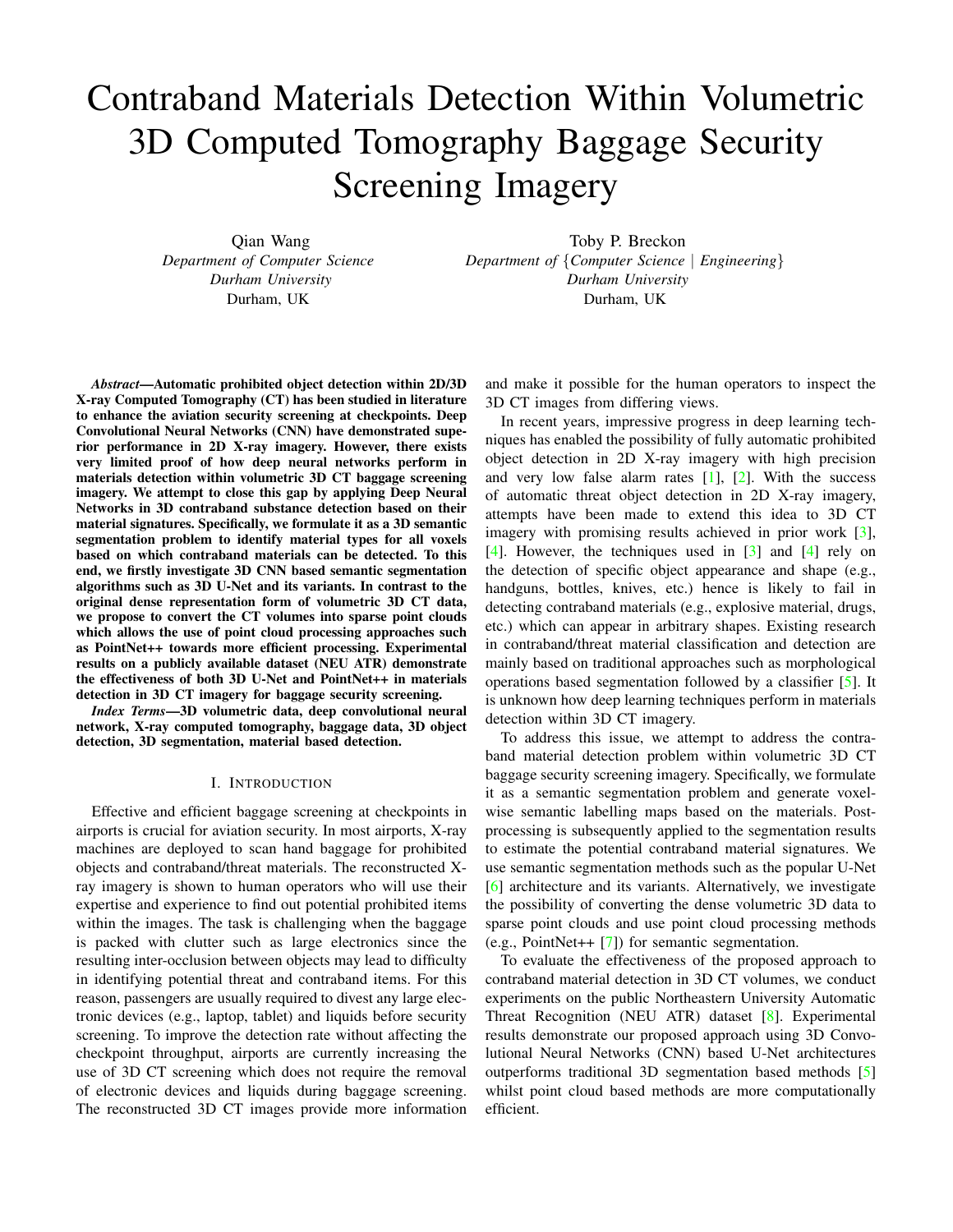# Contraband Materials Detection Within Volumetric 3D Computed Tomography Baggage Security Screening Imagery

Qian Wang *Department of Computer Science Durham University* Durham, UK

Toby P. Breckon *Department of* {*Computer Science* | *Engineering*} *Durham University* Durham, UK

*Abstract*—Automatic prohibited object detection within 2D/3D X-ray Computed Tomography (CT) has been studied in literature to enhance the aviation security screening at checkpoints. Deep Convolutional Neural Networks (CNN) have demonstrated superior performance in 2D X-ray imagery. However, there exists very limited proof of how deep neural networks perform in materials detection within volumetric 3D CT baggage screening imagery. We attempt to close this gap by applying Deep Neural Networks in 3D contraband substance detection based on their material signatures. Specifically, we formulate it as a 3D semantic segmentation problem to identify material types for all voxels based on which contraband materials can be detected. To this end, we firstly investigate 3D CNN based semantic segmentation algorithms such as 3D U-Net and its variants. In contrast to the original dense representation form of volumetric 3D CT data, we propose to convert the CT volumes into sparse point clouds which allows the use of point cloud processing approaches such as PointNet++ towards more efficient processing. Experimental results on a publicly available dataset (NEU ATR) demonstrate the effectiveness of both 3D U-Net and PointNet++ in materials detection in 3D CT imagery for baggage security screening.

*Index Terms*—3D volumetric data, deep convolutional neural network, X-ray computed tomography, baggage data, 3D object detection, 3D segmentation, material based detection.

### I. INTRODUCTION

Effective and efficient baggage screening at checkpoints in airports is crucial for aviation security. In most airports, X-ray machines are deployed to scan hand baggage for prohibited objects and contraband/threat materials. The reconstructed Xray imagery is shown to human operators who will use their expertise and experience to find out potential prohibited items within the images. The task is challenging when the baggage is packed with clutter such as large electronics since the resulting inter-occlusion between objects may lead to difficulty in identifying potential threat and contraband items. For this reason, passengers are usually required to divest any large electronic devices (e.g., laptop, tablet) and liquids before security screening. To improve the detection rate without affecting the checkpoint throughput, airports are currently increasing the use of 3D CT screening which does not require the removal of electronic devices and liquids during baggage screening. The reconstructed 3D CT images provide more information

and make it possible for the human operators to inspect the 3D CT images from differing views.

In recent years, impressive progress in deep learning techniques has enabled the possibility of fully automatic prohibited object detection in 2D X-ray imagery with high precision and very low false alarm rates  $[1]$ ,  $[2]$ . With the success of automatic threat object detection in 2D X-ray imagery, attempts have been made to extend this idea to 3D CT imagery with promising results achieved in prior work [\[3\]](#page-6-2), [\[4\]](#page-6-3). However, the techniques used in [\[3\]](#page-6-2) and [\[4\]](#page-6-3) rely on the detection of specific object appearance and shape (e.g., handguns, bottles, knives, etc.) hence is likely to fail in detecting contraband materials (e.g., explosive material, drugs, etc.) which can appear in arbitrary shapes. Existing research in contraband/threat material classification and detection are mainly based on traditional approaches such as morphological operations based segmentation followed by a classifier [\[5\]](#page-6-4). It is unknown how deep learning techniques perform in materials detection within 3D CT imagery.

To address this issue, we attempt to address the contraband material detection problem within volumetric 3D CT baggage security screening imagery. Specifically, we formulate it as a semantic segmentation problem and generate voxelwise semantic labelling maps based on the materials. Postprocessing is subsequently applied to the segmentation results to estimate the potential contraband material signatures. We use semantic segmentation methods such as the popular U-Net [\[6\]](#page-6-5) architecture and its variants. Alternatively, we investigate the possibility of converting the dense volumetric 3D data to sparse point clouds and use point cloud processing methods (e.g., PointNet++ [\[7\]](#page-6-6)) for semantic segmentation.

To evaluate the effectiveness of the proposed approach to contraband material detection in 3D CT volumes, we conduct experiments on the public Northeastern University Automatic Threat Recognition (NEU ATR) dataset [\[8\]](#page-7-0). Experimental results demonstrate our proposed approach using 3D Convolutional Neural Networks (CNN) based U-Net architectures outperforms traditional 3D segmentation based methods [\[5\]](#page-6-4) whilst point cloud based methods are more computationally efficient.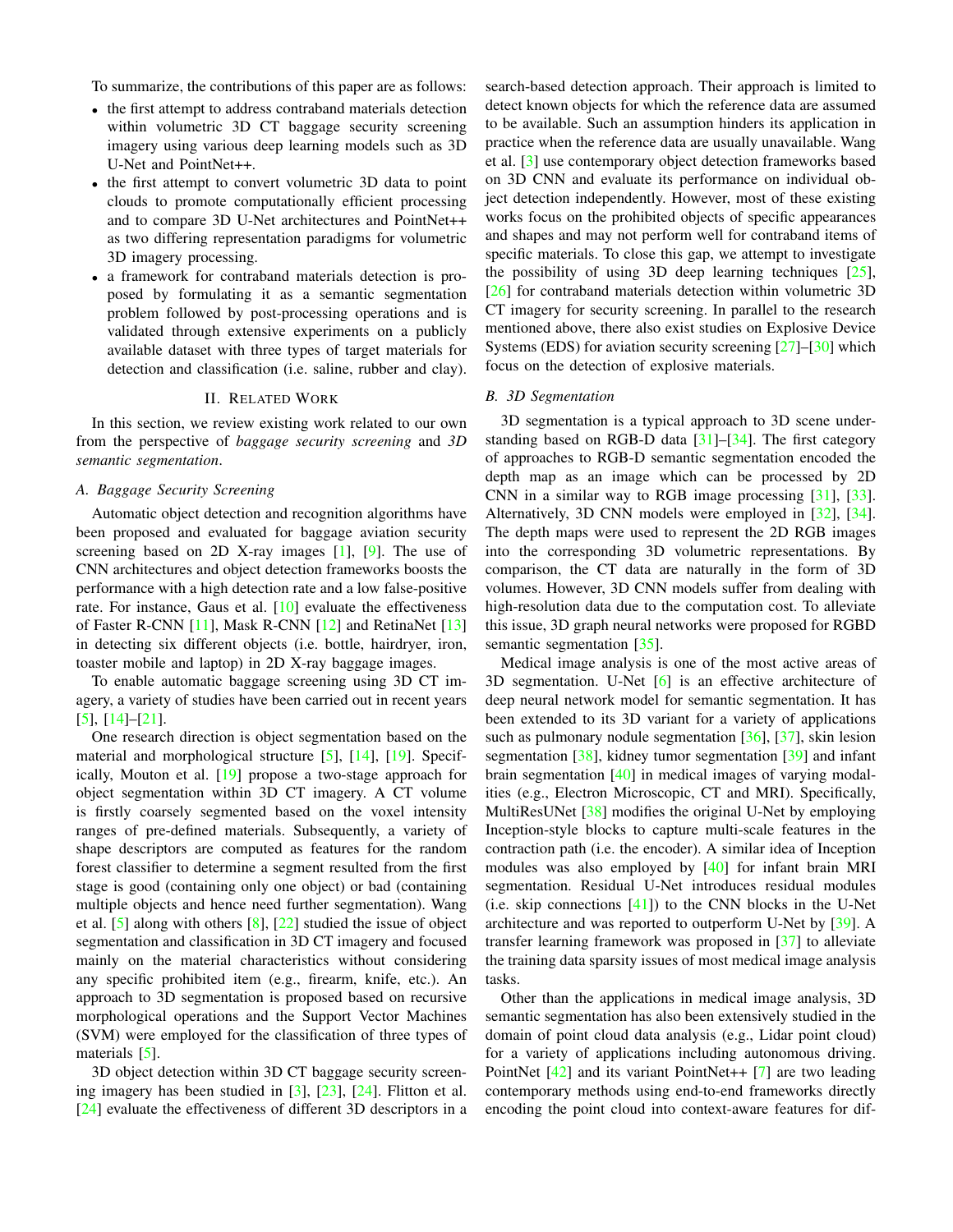To summarize, the contributions of this paper are as follows:

- the first attempt to address contraband materials detection within volumetric 3D CT baggage security screening imagery using various deep learning models such as 3D U-Net and PointNet++.
- the first attempt to convert volumetric 3D data to point clouds to promote computationally efficient processing and to compare 3D U-Net architectures and PointNet++ as two differing representation paradigms for volumetric 3D imagery processing.
- a framework for contraband materials detection is proposed by formulating it as a semantic segmentation problem followed by post-processing operations and is validated through extensive experiments on a publicly available dataset with three types of target materials for detection and classification (i.e. saline, rubber and clay).

## II. RELATED WORK

In this section, we review existing work related to our own from the perspective of *baggage security screening* and *3D semantic segmentation*.

## *A. Baggage Security Screening*

Automatic object detection and recognition algorithms have been proposed and evaluated for baggage aviation security screening based on 2D X-ray images [\[1\]](#page-6-0), [\[9\]](#page-7-1). The use of CNN architectures and object detection frameworks boosts the performance with a high detection rate and a low false-positive rate. For instance, Gaus et al.  $[10]$  evaluate the effectiveness of Faster R-CNN [\[11\]](#page-7-3), Mask R-CNN [\[12\]](#page-7-4) and RetinaNet [\[13\]](#page-7-5) in detecting six different objects (i.e. bottle, hairdryer, iron, toaster mobile and laptop) in 2D X-ray baggage images.

To enable automatic baggage screening using 3D CT imagery, a variety of studies have been carried out in recent years [\[5\]](#page-6-4), [\[14\]](#page-7-6)–[\[21\]](#page-7-7).

One research direction is object segmentation based on the material and morphological structure [\[5\]](#page-6-4), [\[14\]](#page-7-6), [\[19\]](#page-7-8). Specifically, Mouton et al. [\[19\]](#page-7-8) propose a two-stage approach for object segmentation within 3D CT imagery. A CT volume is firstly coarsely segmented based on the voxel intensity ranges of pre-defined materials. Subsequently, a variety of shape descriptors are computed as features for the random forest classifier to determine a segment resulted from the first stage is good (containing only one object) or bad (containing multiple objects and hence need further segmentation). Wang et al. [\[5\]](#page-6-4) along with others [\[8\]](#page-7-0), [\[22\]](#page-7-9) studied the issue of object segmentation and classification in 3D CT imagery and focused mainly on the material characteristics without considering any specific prohibited item (e.g., firearm, knife, etc.). An approach to 3D segmentation is proposed based on recursive morphological operations and the Support Vector Machines (SVM) were employed for the classification of three types of materials [\[5\]](#page-6-4).

3D object detection within 3D CT baggage security screening imagery has been studied in [\[3\]](#page-6-2), [\[23\]](#page-7-10), [\[24\]](#page-7-11). Flitton et al. [\[24\]](#page-7-11) evaluate the effectiveness of different 3D descriptors in a search-based detection approach. Their approach is limited to detect known objects for which the reference data are assumed to be available. Such an assumption hinders its application in practice when the reference data are usually unavailable. Wang et al. [\[3\]](#page-6-2) use contemporary object detection frameworks based on 3D CNN and evaluate its performance on individual object detection independently. However, most of these existing works focus on the prohibited objects of specific appearances and shapes and may not perform well for contraband items of specific materials. To close this gap, we attempt to investigate the possibility of using 3D deep learning techniques [\[25\]](#page-7-12), [\[26\]](#page-7-13) for contraband materials detection within volumetric 3D CT imagery for security screening. In parallel to the research mentioned above, there also exist studies on Explosive Device Systems (EDS) for aviation security screening [\[27\]](#page-7-14)–[\[30\]](#page-7-15) which focus on the detection of explosive materials.

### *B. 3D Segmentation*

3D segmentation is a typical approach to 3D scene understanding based on RGB-D data  $\lceil 31 \rceil - \lceil 34 \rceil$ . The first category of approaches to RGB-D semantic segmentation encoded the depth map as an image which can be processed by 2D CNN in a similar way to RGB image processing [\[31\]](#page-7-16), [\[33\]](#page-7-18). Alternatively, 3D CNN models were employed in [\[32\]](#page-7-19), [\[34\]](#page-7-17). The depth maps were used to represent the 2D RGB images into the corresponding 3D volumetric representations. By comparison, the CT data are naturally in the form of 3D volumes. However, 3D CNN models suffer from dealing with high-resolution data due to the computation cost. To alleviate this issue, 3D graph neural networks were proposed for RGBD semantic segmentation [\[35\]](#page-7-20).

Medical image analysis is one of the most active areas of 3D segmentation. U-Net [\[6\]](#page-6-5) is an effective architecture of deep neural network model for semantic segmentation. It has been extended to its 3D variant for a variety of applications such as pulmonary nodule segmentation [\[36\]](#page-7-21), [\[37\]](#page-7-22), skin lesion segmentation [\[38\]](#page-7-23), kidney tumor segmentation [\[39\]](#page-7-24) and infant brain segmentation [\[40\]](#page-7-25) in medical images of varying modalities (e.g., Electron Microscopic, CT and MRI). Specifically, MultiResUNet [\[38\]](#page-7-23) modifies the original U-Net by employing Inception-style blocks to capture multi-scale features in the contraction path (i.e. the encoder). A similar idea of Inception modules was also employed by [\[40\]](#page-7-25) for infant brain MRI segmentation. Residual U-Net introduces residual modules (i.e. skip connections [\[41\]](#page-7-26)) to the CNN blocks in the U-Net architecture and was reported to outperform U-Net by [\[39\]](#page-7-24). A transfer learning framework was proposed in [\[37\]](#page-7-22) to alleviate the training data sparsity issues of most medical image analysis tasks.

Other than the applications in medical image analysis, 3D semantic segmentation has also been extensively studied in the domain of point cloud data analysis (e.g., Lidar point cloud) for a variety of applications including autonomous driving. PointNet [\[42\]](#page-7-27) and its variant PointNet++ [\[7\]](#page-6-6) are two leading contemporary methods using end-to-end frameworks directly encoding the point cloud into context-aware features for dif-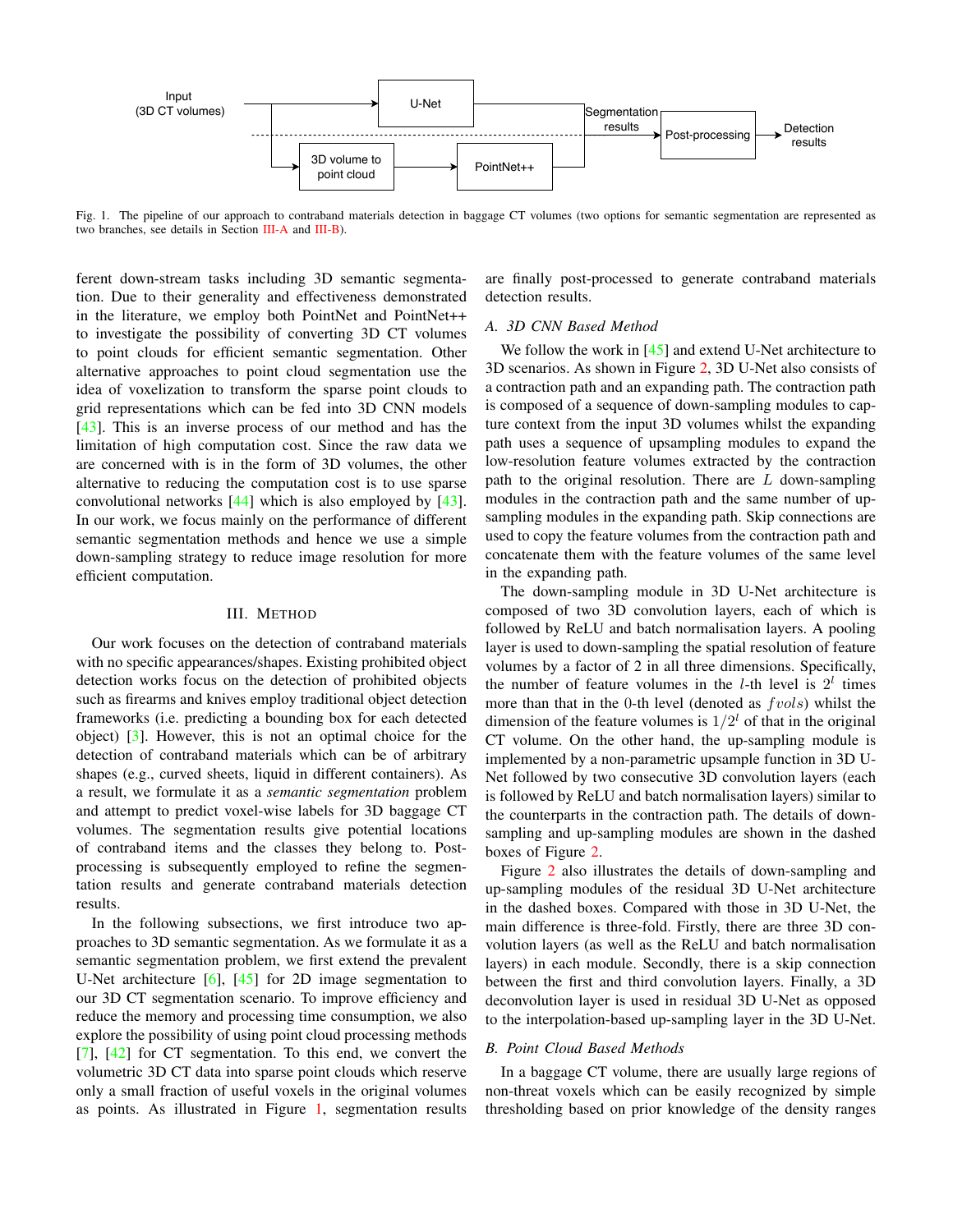

<span id="page-2-2"></span>Fig. 1. The pipeline of our approach to contraband materials detection in baggage CT volumes (two options for semantic segmentation are represented as two branches, see details in Section [III-A](#page-2-0) and [III-B\)](#page-2-1).

ferent down-stream tasks including 3D semantic segmentation. Due to their generality and effectiveness demonstrated in the literature, we employ both PointNet and PointNet++ to investigate the possibility of converting 3D CT volumes to point clouds for efficient semantic segmentation. Other alternative approaches to point cloud segmentation use the idea of voxelization to transform the sparse point clouds to grid representations which can be fed into 3D CNN models [\[43\]](#page-7-28). This is an inverse process of our method and has the limitation of high computation cost. Since the raw data we are concerned with is in the form of 3D volumes, the other alternative to reducing the computation cost is to use sparse convolutional networks [\[44\]](#page-7-29) which is also employed by [\[43\]](#page-7-28). In our work, we focus mainly on the performance of different semantic segmentation methods and hence we use a simple down-sampling strategy to reduce image resolution for more efficient computation.

## III. METHOD

Our work focuses on the detection of contraband materials with no specific appearances/shapes. Existing prohibited object detection works focus on the detection of prohibited objects such as firearms and knives employ traditional object detection frameworks (i.e. predicting a bounding box for each detected object) [\[3\]](#page-6-2). However, this is not an optimal choice for the detection of contraband materials which can be of arbitrary shapes (e.g., curved sheets, liquid in different containers). As a result, we formulate it as a *semantic segmentation* problem and attempt to predict voxel-wise labels for 3D baggage CT volumes. The segmentation results give potential locations of contraband items and the classes they belong to. Postprocessing is subsequently employed to refine the segmentation results and generate contraband materials detection results.

In the following subsections, we first introduce two approaches to 3D semantic segmentation. As we formulate it as a semantic segmentation problem, we first extend the prevalent U-Net architecture [\[6\]](#page-6-5), [\[45\]](#page-7-30) for 2D image segmentation to our 3D CT segmentation scenario. To improve efficiency and reduce the memory and processing time consumption, we also explore the possibility of using point cloud processing methods [\[7\]](#page-6-6), [\[42\]](#page-7-27) for CT segmentation. To this end, we convert the volumetric 3D CT data into sparse point clouds which reserve only a small fraction of useful voxels in the original volumes as points. As illustrated in Figure [1,](#page-2-2) segmentation results are finally post-processed to generate contraband materials detection results.

## <span id="page-2-0"></span>*A. 3D CNN Based Method*

We follow the work in [\[45\]](#page-7-30) and extend U-Net architecture to 3D scenarios. As shown in Figure [2,](#page-3-0) 3D U-Net also consists of a contraction path and an expanding path. The contraction path is composed of a sequence of down-sampling modules to capture context from the input 3D volumes whilst the expanding path uses a sequence of upsampling modules to expand the low-resolution feature volumes extracted by the contraction path to the original resolution. There are  $L$  down-sampling modules in the contraction path and the same number of upsampling modules in the expanding path. Skip connections are used to copy the feature volumes from the contraction path and concatenate them with the feature volumes of the same level in the expanding path.

The down-sampling module in 3D U-Net architecture is composed of two 3D convolution layers, each of which is followed by ReLU and batch normalisation layers. A pooling layer is used to down-sampling the spatial resolution of feature volumes by a factor of 2 in all three dimensions. Specifically, the number of feature volumes in the *l*-th level is  $2^l$  times more than that in the 0-th level (denoted as  $fvols$ ) whilst the dimension of the feature volumes is  $1/2<sup>l</sup>$  of that in the original CT volume. On the other hand, the up-sampling module is implemented by a non-parametric upsample function in 3D U-Net followed by two consecutive 3D convolution layers (each is followed by ReLU and batch normalisation layers) similar to the counterparts in the contraction path. The details of downsampling and up-sampling modules are shown in the dashed boxes of Figure [2.](#page-3-0)

Figure [2](#page-3-0) also illustrates the details of down-sampling and up-sampling modules of the residual 3D U-Net architecture in the dashed boxes. Compared with those in 3D U-Net, the main difference is three-fold. Firstly, there are three 3D convolution layers (as well as the ReLU and batch normalisation layers) in each module. Secondly, there is a skip connection between the first and third convolution layers. Finally, a 3D deconvolution layer is used in residual 3D U-Net as opposed to the interpolation-based up-sampling layer in the 3D U-Net.

### <span id="page-2-1"></span>*B. Point Cloud Based Methods*

In a baggage CT volume, there are usually large regions of non-threat voxels which can be easily recognized by simple thresholding based on prior knowledge of the density ranges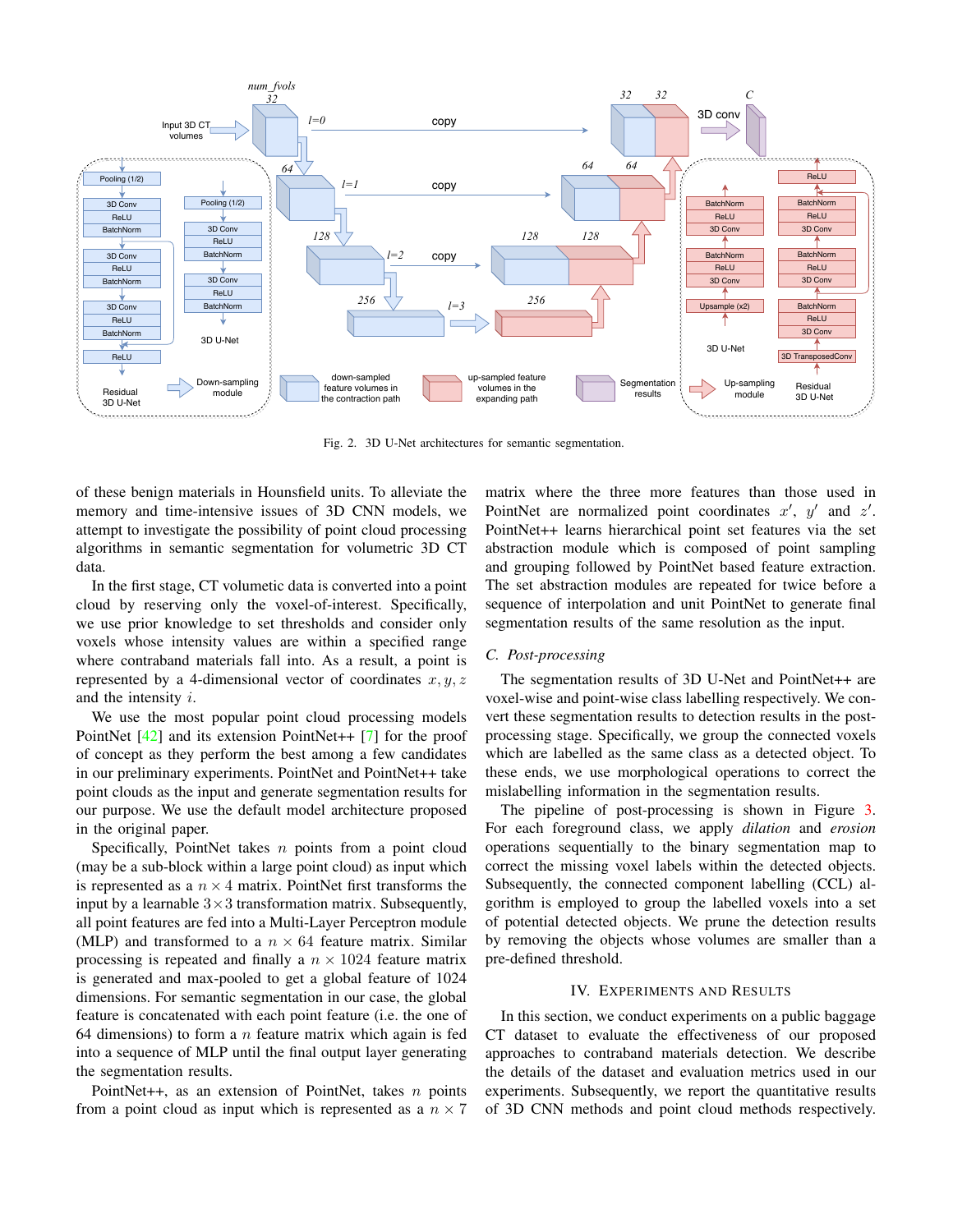

<span id="page-3-0"></span>Fig. 2. 3D U-Net architectures for semantic segmentation.

of these benign materials in Hounsfield units. To alleviate the memory and time-intensive issues of 3D CNN models, we attempt to investigate the possibility of point cloud processing algorithms in semantic segmentation for volumetric 3D CT data.

In the first stage, CT volumetic data is converted into a point cloud by reserving only the voxel-of-interest. Specifically, we use prior knowledge to set thresholds and consider only voxels whose intensity values are within a specified range where contraband materials fall into. As a result, a point is represented by a 4-dimensional vector of coordinates  $x, y, z$ and the intensity i.

We use the most popular point cloud processing models PointNet [\[42\]](#page-7-27) and its extension PointNet++ [\[7\]](#page-6-6) for the proof of concept as they perform the best among a few candidates in our preliminary experiments. PointNet and PointNet++ take point clouds as the input and generate segmentation results for our purpose. We use the default model architecture proposed in the original paper.

Specifically, PointNet takes  $n$  points from a point cloud (may be a sub-block within a large point cloud) as input which is represented as a  $n \times 4$  matrix. PointNet first transforms the input by a learnable  $3\times3$  transformation matrix. Subsequently, all point features are fed into a Multi-Layer Perceptron module (MLP) and transformed to a  $n \times 64$  feature matrix. Similar processing is repeated and finally a  $n \times 1024$  feature matrix is generated and max-pooled to get a global feature of 1024 dimensions. For semantic segmentation in our case, the global feature is concatenated with each point feature (i.e. the one of 64 dimensions) to form a  $n$  feature matrix which again is fed into a sequence of MLP until the final output layer generating the segmentation results.

PointNet++, as an extension of PointNet, takes  $n$  points from a point cloud as input which is represented as a  $n \times 7$  matrix where the three more features than those used in PointNet are normalized point coordinates  $x'$ ,  $y'$  and  $z'$ . PointNet++ learns hierarchical point set features via the set abstraction module which is composed of point sampling and grouping followed by PointNet based feature extraction. The set abstraction modules are repeated for twice before a sequence of interpolation and unit PointNet to generate final segmentation results of the same resolution as the input.

## <span id="page-3-1"></span>*C. Post-processing*

The segmentation results of 3D U-Net and PointNet++ are voxel-wise and point-wise class labelling respectively. We convert these segmentation results to detection results in the postprocessing stage. Specifically, we group the connected voxels which are labelled as the same class as a detected object. To these ends, we use morphological operations to correct the mislabelling information in the segmentation results.

The pipeline of post-processing is shown in Figure [3.](#page-4-0) For each foreground class, we apply *dilation* and *erosion* operations sequentially to the binary segmentation map to correct the missing voxel labels within the detected objects. Subsequently, the connected component labelling (CCL) algorithm is employed to group the labelled voxels into a set of potential detected objects. We prune the detection results by removing the objects whose volumes are smaller than a pre-defined threshold.

## IV. EXPERIMENTS AND RESULTS

In this section, we conduct experiments on a public baggage CT dataset to evaluate the effectiveness of our proposed approaches to contraband materials detection. We describe the details of the dataset and evaluation metrics used in our experiments. Subsequently, we report the quantitative results of 3D CNN methods and point cloud methods respectively.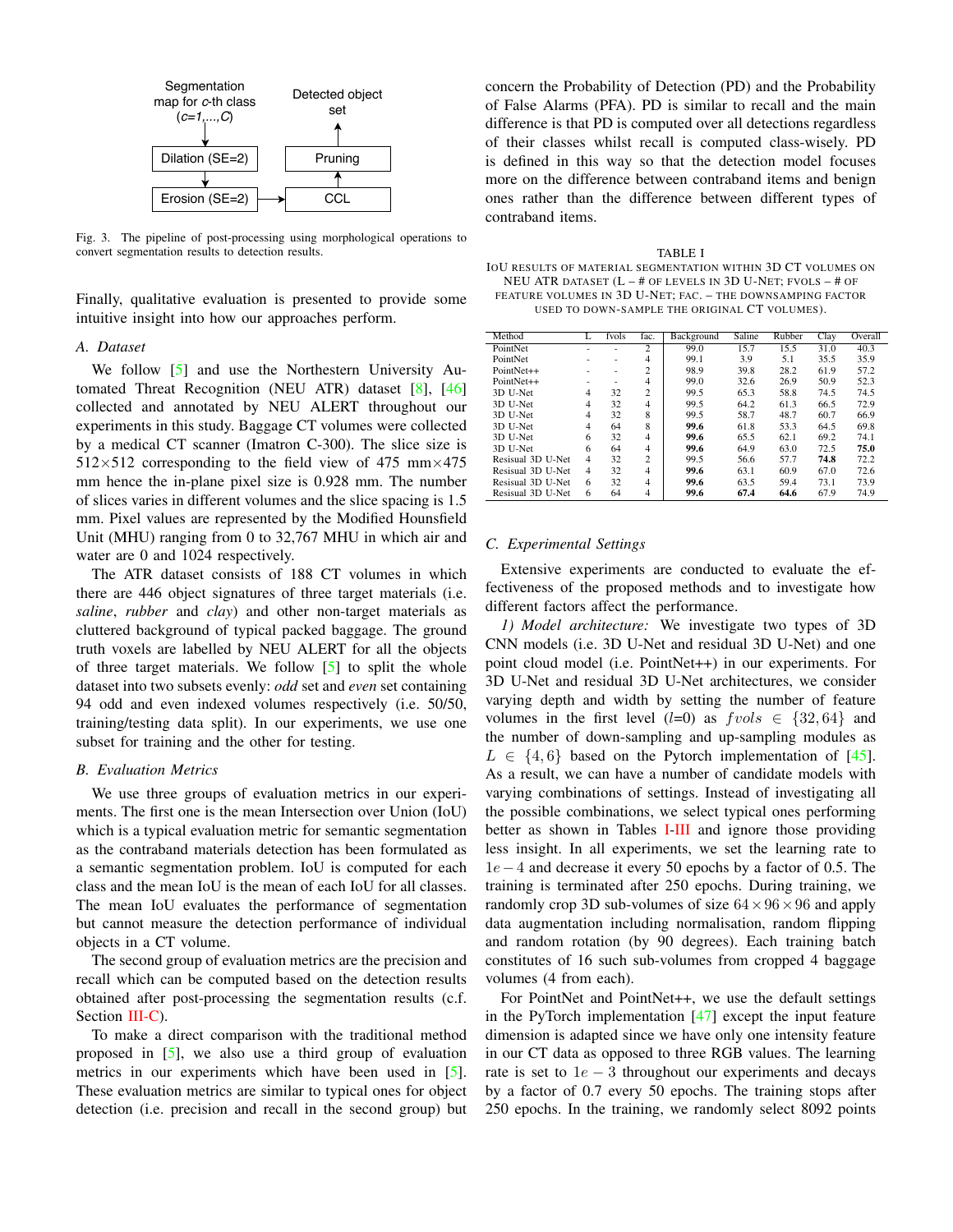

<span id="page-4-0"></span>Fig. 3. The pipeline of post-processing using morphological operations to convert segmentation results to detection results.

Finally, qualitative evaluation is presented to provide some intuitive insight into how our approaches perform.

## *A. Dataset*

We follow [\[5\]](#page-6-4) and use the Northestern University Automated Threat Recognition (NEU ATR) dataset [\[8\]](#page-7-0), [\[46\]](#page-7-31) collected and annotated by NEU ALERT throughout our experiments in this study. Baggage CT volumes were collected by a medical CT scanner (Imatron C-300). The slice size is  $512\times512$  corresponding to the field view of 475 mm $\times$ 475 mm hence the in-plane pixel size is 0.928 mm. The number of slices varies in different volumes and the slice spacing is 1.5 mm. Pixel values are represented by the Modified Hounsfield Unit (MHU) ranging from 0 to 32,767 MHU in which air and water are 0 and 1024 respectively.

The ATR dataset consists of 188 CT volumes in which there are 446 object signatures of three target materials (i.e. *saline*, *rubber* and *clay*) and other non-target materials as cluttered background of typical packed baggage. The ground truth voxels are labelled by NEU ALERT for all the objects of three target materials. We follow [\[5\]](#page-6-4) to split the whole dataset into two subsets evenly: *odd* set and *even* set containing 94 odd and even indexed volumes respectively (i.e. 50/50, training/testing data split). In our experiments, we use one subset for training and the other for testing.

#### *B. Evaluation Metrics*

We use three groups of evaluation metrics in our experiments. The first one is the mean Intersection over Union (IoU) which is a typical evaluation metric for semantic segmentation as the contraband materials detection has been formulated as a semantic segmentation problem. IoU is computed for each class and the mean IoU is the mean of each IoU for all classes. The mean IoU evaluates the performance of segmentation but cannot measure the detection performance of individual objects in a CT volume.

The second group of evaluation metrics are the precision and recall which can be computed based on the detection results obtained after post-processing the segmentation results (c.f. Section [III-C\)](#page-3-1).

To make a direct comparison with the traditional method proposed in [\[5\]](#page-6-4), we also use a third group of evaluation metrics in our experiments which have been used in [\[5\]](#page-6-4). These evaluation metrics are similar to typical ones for object detection (i.e. precision and recall in the second group) but concern the Probability of Detection (PD) and the Probability of False Alarms (PFA). PD is similar to recall and the main difference is that PD is computed over all detections regardless of their classes whilst recall is computed class-wisely. PD is defined in this way so that the detection model focuses more on the difference between contraband items and benign ones rather than the difference between different types of contraband items.

<span id="page-4-1"></span>TABLE I IOU RESULTS OF MATERIAL SEGMENTATION WITHIN 3D CT VOLUMES ON NEU ATR DATASET (L – # OF LEVELS IN 3D U-NET; FVOLS – # OF FEATURE VOLUMES IN 3D U-NET; FAC. – THE DOWNSAMPING FACTOR USED TO DOWN-SAMPLE THE ORIGINAL CT VOLUMES).

| Method            |   | fvols | fac.           | Background | Saline | Rubber | Clay | Overall |
|-------------------|---|-------|----------------|------------|--------|--------|------|---------|
| PointNet          | ۰ | ۰     | $\overline{c}$ | 99.0       | 15.7   | 15.5   | 31.0 | 40.3    |
| PointNet          |   | ۰     | 4              | 99.1       | 3.9    | 5.1    | 35.5 | 35.9    |
| PointNet++        | ۰ | ۰     | $\overline{c}$ | 98.9       | 39.8   | 28.2   | 61.9 | 57.2    |
| PointNet++        | ۰ | ۰     | 4              | 99.0       | 32.6   | 26.9   | 50.9 | 52.3    |
| 3D U-Net          | 4 | 32    | $\overline{c}$ | 99.5       | 65.3   | 58.8   | 74.5 | 74.5    |
| 3D U-Net          | 4 | 32    | 4              | 99.5       | 64.2   | 61.3   | 66.5 | 72.9    |
| 3D U-Net          | 4 | 32    | 8              | 99.5       | 58.7   | 48.7   | 60.7 | 66.9    |
| 3D U-Net          | 4 | 64    | 8              | 99.6       | 61.8   | 53.3   | 64.5 | 69.8    |
| 3D U-Net          | 6 | 32    | $\overline{4}$ | 99.6       | 65.5   | 62.1   | 69.2 | 74.1    |
| 3D U-Net          | 6 | 64    | 4              | 99.6       | 64.9   | 63.0   | 72.5 | 75.0    |
| Resisual 3D U-Net | 4 | 32    | $\overline{c}$ | 99.5       | 56.6   | 57.7   | 74.8 | 72.2    |
| Resisual 3D U-Net | 4 | 32    | 4              | 99.6       | 63.1   | 60.9   | 67.0 | 72.6    |
| Resisual 3D U-Net | 6 | 32    | $\overline{4}$ | 99.6       | 63.5   | 59.4   | 73.1 | 73.9    |
| Resisual 3D U-Net | 6 | 64    | 4              | 99.6       | 67.4   | 64.6   | 67.9 | 74.9    |

#### *C. Experimental Settings*

Extensive experiments are conducted to evaluate the effectiveness of the proposed methods and to investigate how different factors affect the performance.

*1) Model architecture:* We investigate two types of 3D CNN models (i.e. 3D U-Net and residual 3D U-Net) and one point cloud model (i.e. PointNet++) in our experiments. For 3D U-Net and residual 3D U-Net architectures, we consider varying depth and width by setting the number of feature volumes in the first level  $(l=0)$  as  $fvols \in \{32, 64\}$  and the number of down-sampling and up-sampling modules as  $L \in \{4, 6\}$  based on the Pytorch implementation of [\[45\]](#page-7-30). As a result, we can have a number of candidate models with varying combinations of settings. Instead of investigating all the possible combinations, we select typical ones performing better as shown in Tables [I](#page-4-1)[-III](#page-5-0) and ignore those providing less insight. In all experiments, we set the learning rate to 1e−4 and decrease it every 50 epochs by a factor of 0.5. The training is terminated after 250 epochs. During training, we randomly crop 3D sub-volumes of size  $64 \times 96 \times 96$  and apply data augmentation including normalisation, random flipping and random rotation (by 90 degrees). Each training batch constitutes of 16 such sub-volumes from cropped 4 baggage volumes (4 from each).

For PointNet and PointNet++, we use the default settings in the PyTorch implementation  $[47]$  except the input feature dimension is adapted since we have only one intensity feature in our CT data as opposed to three RGB values. The learning rate is set to  $1e - 3$  throughout our experiments and decays by a factor of 0.7 every 50 epochs. The training stops after 250 epochs. In the training, we randomly select 8092 points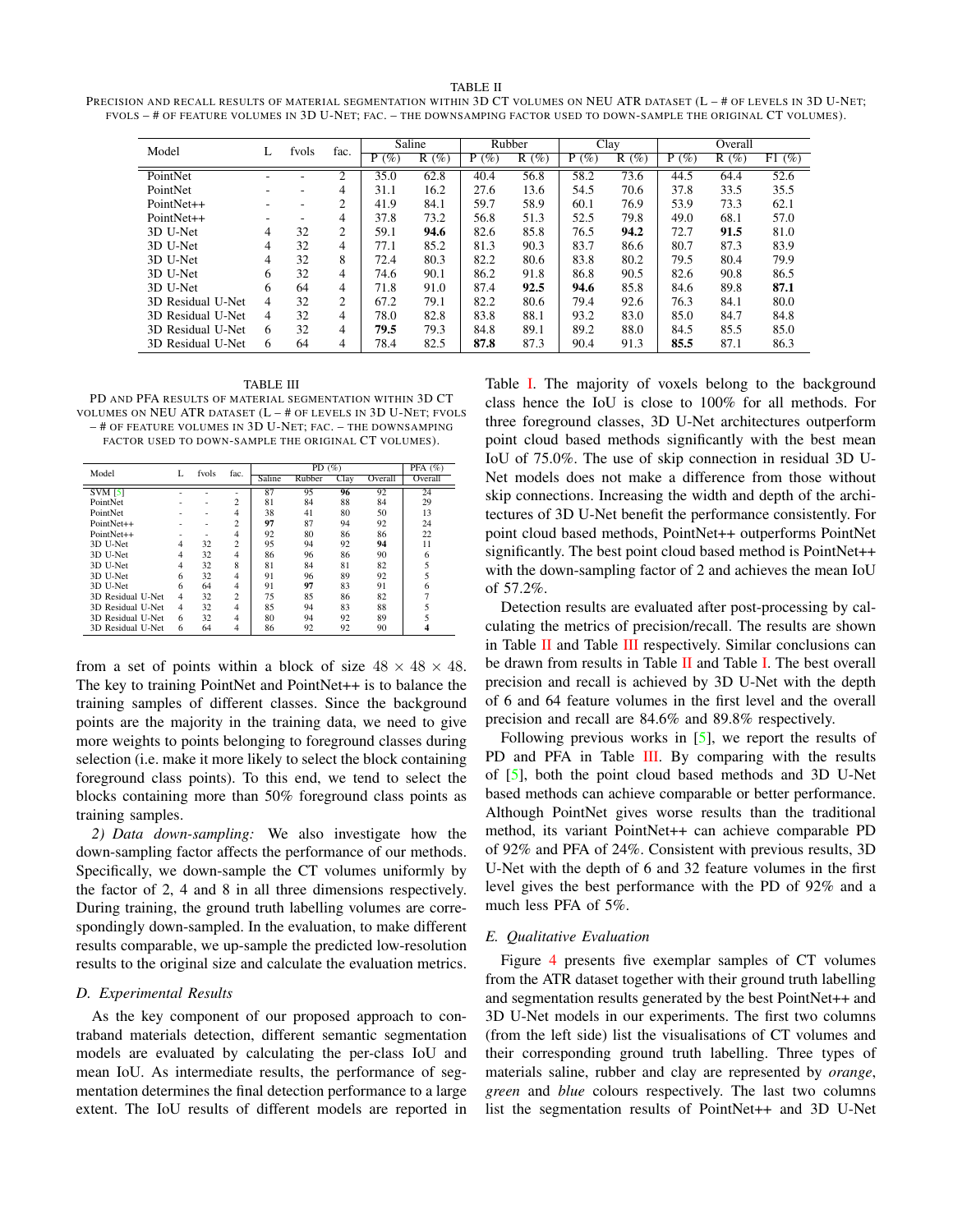#### TABLE II

<span id="page-5-1"></span>

| PRECISION AND RECALL RESULTS OF MATERIAL SEGMENTATION WITHIN 3D CT VOLUMES ON NEU ATR DATASET (L - # OF LEVELS IN 3D U-NET; |
|-----------------------------------------------------------------------------------------------------------------------------|
| FVOLS - # OF FEATURE VOLUMES IN 3D U-NET: FAC. - THE DOWNSAMPING FACTOR USED TO DOWN-SAMPLE THE ORIGINAL CT VOLUMES).       |

| Model             | L | fyols | fac.           | Saline      |         | Rubber   |         | Clay    |      | Overall  |         |       |
|-------------------|---|-------|----------------|-------------|---------|----------|---------|---------|------|----------|---------|-------|
|                   |   |       |                | $(\%)$<br>P | $R(\%)$ | (%)<br>P | $R(\%)$ | $P(\%)$ | R(%) | (%)<br>P | $R(\%)$ | F1(%) |
| PointNet          |   |       | $\overline{c}$ | 35.0        | 62.8    | 40.4     | 56.8    | 58.2    | 73.6 | 44.5     | 64.4    | 52.6  |
| PointNet          |   | -     | 4              | 31.1        | 16.2    | 27.6     | 13.6    | 54.5    | 70.6 | 37.8     | 33.5    | 35.5  |
| PointNet++        |   | ۰     | 2              | 41.9        | 84.1    | 59.7     | 58.9    | 60.1    | 76.9 | 53.9     | 73.3    | 62.1  |
| PointNet++        | ۰ | ۰.    | 4              | 37.8        | 73.2    | 56.8     | 51.3    | 52.5    | 79.8 | 49.0     | 68.1    | 57.0  |
| 3D U-Net          | 4 | 32    | 2              | 59.1        | 94.6    | 82.6     | 85.8    | 76.5    | 94.2 | 72.7     | 91.5    | 81.0  |
| 3D U-Net          | 4 | 32    | 4              | 77.1        | 85.2    | 81.3     | 90.3    | 83.7    | 86.6 | 80.7     | 87.3    | 83.9  |
| 3D U-Net          | 4 | 32    | 8              | 72.4        | 80.3    | 82.2     | 80.6    | 83.8    | 80.2 | 79.5     | 80.4    | 79.9  |
| 3D U-Net          | 6 | 32    | 4              | 74.6        | 90.1    | 86.2     | 91.8    | 86.8    | 90.5 | 82.6     | 90.8    | 86.5  |
| 3D U-Net          | 6 | 64    | 4              | 71.8        | 91.0    | 87.4     | 92.5    | 94.6    | 85.8 | 84.6     | 89.8    | 87.1  |
| 3D Residual U-Net | 4 | 32    | 2              | 67.2        | 79.1    | 82.2     | 80.6    | 79.4    | 92.6 | 76.3     | 84.1    | 80.0  |
| 3D Residual U-Net | 4 | 32    | 4              | 78.0        | 82.8    | 83.8     | 88.1    | 93.2    | 83.0 | 85.0     | 84.7    | 84.8  |
| 3D Residual U-Net | 6 | 32    | 4              | 79.5        | 79.3    | 84.8     | 89.1    | 89.2    | 88.0 | 84.5     | 85.5    | 85.0  |
| 3D Residual U-Net | 6 | 64    | 4              | 78.4        | 82.5    | 87.8     | 87.3    | 90.4    | 91.3 | 85.5     | 87.1    | 86.3  |

<span id="page-5-0"></span>TABLE III PD AND PFA RESULTS OF MATERIAL SEGMENTATION WITHIN 3D CT VOLUMES ON NEU ATR DATASET  $(L - #$  OF LEVELS IN 3D U-NET; FVOLS – # OF FEATURE VOLUMES IN 3D U-NET; FAC. – THE DOWNSAMPING FACTOR USED TO DOWN-SAMPLE THE ORIGINAL CT VOLUMES).

|                   | L | fyols | fac.           |        | PFA $(%)$ |      |         |         |
|-------------------|---|-------|----------------|--------|-----------|------|---------|---------|
| Model             |   |       |                | Saline | Rubber    | Clay | Overall | Overall |
| <b>SVM [5]</b>    |   |       |                | 87     | 95        | 96   | 92      | 24      |
| PointNet          |   |       | $\overline{c}$ | 81     | 84        | 88   | 84      | 29      |
| PointNet          |   |       | 4              | 38     | 41        | 80   | 50      | 13      |
| PointNet++        |   |       | $\overline{c}$ | 97     | 87        | 94   | 92      | 24      |
| PointNet++        |   |       | 4              | 92     | 80        | 86   | 86      | 22      |
| 3D U-Net          | 4 | 32    | $\overline{c}$ | 95     | 94        | 92   | 94      | 11      |
| 3D U-Net          | 4 | 32    | 4              | 86     | 96        | 86   | 90      | 6       |
| 3D U-Net          | 4 | 32    | 8              | 81     | 84        | 81   | 82      | 5       |
| 3D U-Net          | 6 | 32    | 4              | 91     | 96        | 89   | 92      | 5       |
| 3D U-Net          | 6 | 64    | 4              | 91     | 97        | 83   | 91      | 6       |
| 3D Residual U-Net | 4 | 32    | $\overline{c}$ | 75     | 85        | 86   | 82      |         |
| 3D Residual U-Net | 4 | 32    | 4              | 85     | 94        | 83   | 88      |         |
| 3D Residual U-Net | 6 | 32    | 4              | 80     | 94        | 92   | 89      |         |
| 3D Residual U-Net | 6 | 64    | 4              | 86     | 92        | 92   | 90      |         |

from a set of points within a block of size  $48 \times 48 \times 48$ . The key to training PointNet and PointNet++ is to balance the training samples of different classes. Since the background points are the majority in the training data, we need to give more weights to points belonging to foreground classes during selection (i.e. make it more likely to select the block containing foreground class points). To this end, we tend to select the blocks containing more than 50% foreground class points as training samples.

*2) Data down-sampling:* We also investigate how the down-sampling factor affects the performance of our methods. Specifically, we down-sample the CT volumes uniformly by the factor of 2, 4 and 8 in all three dimensions respectively. During training, the ground truth labelling volumes are correspondingly down-sampled. In the evaluation, to make different results comparable, we up-sample the predicted low-resolution results to the original size and calculate the evaluation metrics.

### *D. Experimental Results*

As the key component of our proposed approach to contraband materials detection, different semantic segmentation models are evaluated by calculating the per-class IoU and mean IoU. As intermediate results, the performance of segmentation determines the final detection performance to a large extent. The IoU results of different models are reported in Table [I.](#page-4-1) The majority of voxels belong to the background class hence the IoU is close to 100% for all methods. For three foreground classes, 3D U-Net architectures outperform point cloud based methods significantly with the best mean IoU of 75.0%. The use of skip connection in residual 3D U-Net models does not make a difference from those without skip connections. Increasing the width and depth of the architectures of 3D U-Net benefit the performance consistently. For point cloud based methods, PointNet++ outperforms PointNet significantly. The best point cloud based method is PointNet++ with the down-sampling factor of 2 and achieves the mean IoU of 57.2%.

Detection results are evaluated after post-processing by calculating the metrics of precision/recall. The results are shown in Table  $II$  and Table  $III$  respectively. Similar conclusions can be drawn from results in Table [II](#page-5-1) and Table [I.](#page-4-1) The best overall precision and recall is achieved by 3D U-Net with the depth of 6 and 64 feature volumes in the first level and the overall precision and recall are 84.6% and 89.8% respectively.

Following previous works in [\[5\]](#page-6-4), we report the results of PD and PFA in Table [III.](#page-5-0) By comparing with the results of [\[5\]](#page-6-4), both the point cloud based methods and 3D U-Net based methods can achieve comparable or better performance. Although PointNet gives worse results than the traditional method, its variant PointNet++ can achieve comparable PD of 92% and PFA of 24%. Consistent with previous results, 3D U-Net with the depth of 6 and 32 feature volumes in the first level gives the best performance with the PD of 92% and a much less PFA of 5%.

### *E. Qualitative Evaluation*

Figure [4](#page-6-7) presents five exemplar samples of CT volumes from the ATR dataset together with their ground truth labelling and segmentation results generated by the best PointNet++ and 3D U-Net models in our experiments. The first two columns (from the left side) list the visualisations of CT volumes and their corresponding ground truth labelling. Three types of materials saline, rubber and clay are represented by *orange*, *green* and *blue* colours respectively. The last two columns list the segmentation results of PointNet++ and 3D U-Net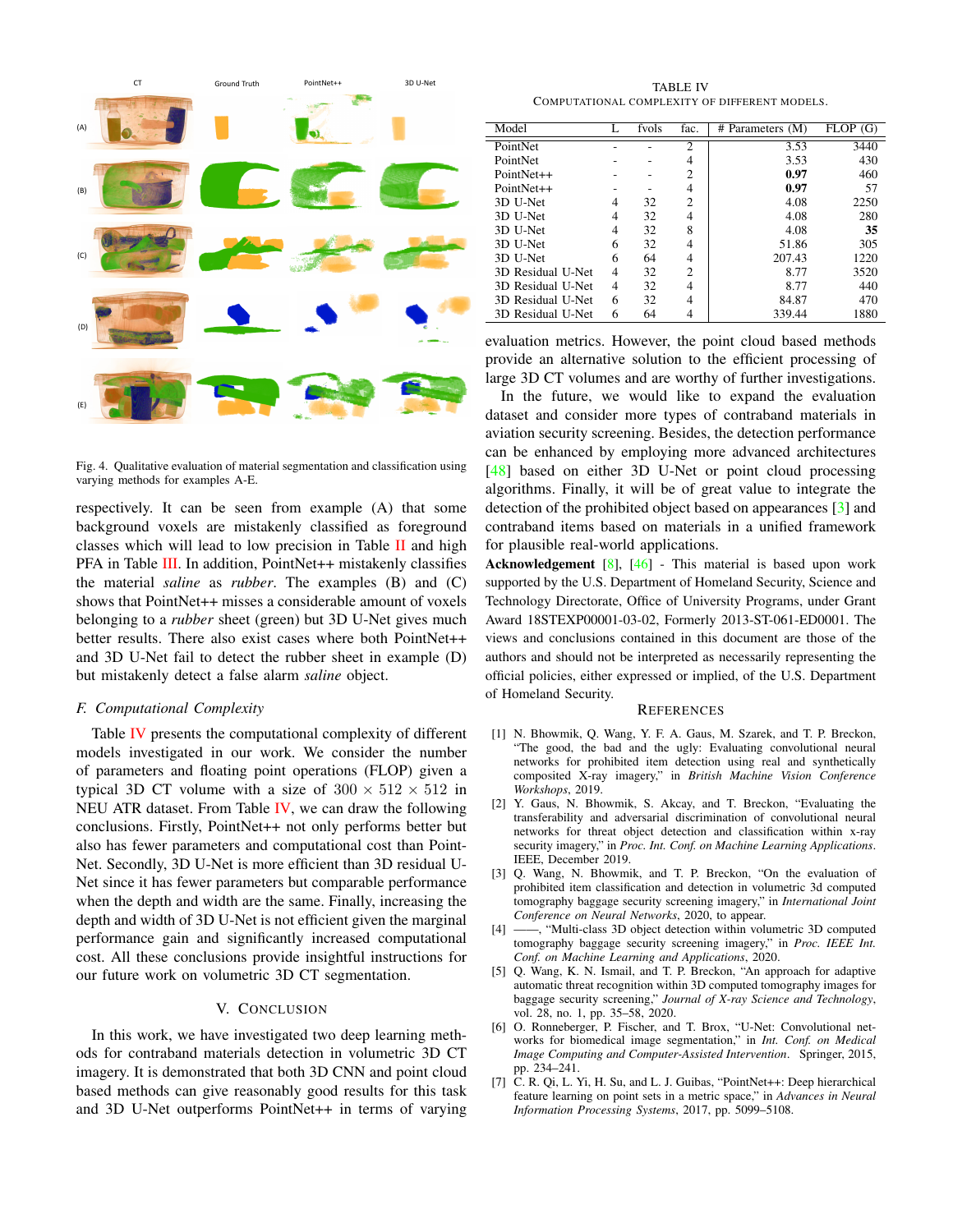

<span id="page-6-7"></span>Fig. 4. Qualitative evaluation of material segmentation and classification using varying methods for examples A-E.

respectively. It can be seen from example (A) that some background voxels are mistakenly classified as foreground classes which will lead to low precision in Table  $\Pi$  and high PFA in Table [III.](#page-5-0) In addition, PointNet++ mistakenly classifies the material *saline* as *rubber*. The examples (B) and (C) shows that PointNet++ misses a considerable amount of voxels belonging to a *rubber* sheet (green) but 3D U-Net gives much better results. There also exist cases where both PointNet++ and 3D U-Net fail to detect the rubber sheet in example (D) but mistakenly detect a false alarm *saline* object.

## *F. Computational Complexity*

Table [IV](#page-6-8) presents the computational complexity of different models investigated in our work. We consider the number of parameters and floating point operations (FLOP) given a typical 3D CT volume with a size of  $300 \times 512 \times 512$  in NEU ATR dataset. From Table  $IV$ , we can draw the following conclusions. Firstly, PointNet++ not only performs better but also has fewer parameters and computational cost than Point-Net. Secondly, 3D U-Net is more efficient than 3D residual U-Net since it has fewer parameters but comparable performance when the depth and width are the same. Finally, increasing the depth and width of 3D U-Net is not efficient given the marginal performance gain and significantly increased computational cost. All these conclusions provide insightful instructions for our future work on volumetric 3D CT segmentation.

## V. CONCLUSION

In this work, we have investigated two deep learning methods for contraband materials detection in volumetric 3D CT imagery. It is demonstrated that both 3D CNN and point cloud based methods can give reasonably good results for this task and 3D U-Net outperforms PointNet++ in terms of varying

TABLE IV COMPUTATIONAL COMPLEXITY OF DIFFERENT MODELS.

<span id="page-6-8"></span>

| Model             |   | fvols | fac.           | $#$ Parameters $(M)$ | <b>FLOP</b><br>(G) |
|-------------------|---|-------|----------------|----------------------|--------------------|
| PointNet          |   |       | $\overline{c}$ | 3.53                 | 3440               |
| PointNet          |   |       | 4              | 3.53                 | 430                |
| PointNet++        |   |       | 2              | 0.97                 | 460                |
| PointNet++        |   |       | 4              | 0.97                 | 57                 |
| 3D U-Net          | 4 | 32    | 2              | 4.08                 | 2250               |
| 3D U-Net          | 4 | 32    | 4              | 4.08                 | 280                |
| 3D U-Net          | 4 | 32    | 8              | 4.08                 | 35                 |
| 3D U-Net          | 6 | 32    | 4              | 51.86                | 305                |
| 3D U-Net          | 6 | 64    | 4              | 207.43               | 1220               |
| 3D Residual U-Net | 4 | 32    | 2              | 8.77                 | 3520               |
| 3D Residual U-Net | 4 | 32    | 4              | 8.77                 | 440                |
| 3D Residual U-Net | 6 | 32    | 4              | 84.87                | 470                |
| 3D Residual U-Net | 6 | 64    | $\overline{4}$ | 339.44               | 1880               |

evaluation metrics. However, the point cloud based methods provide an alternative solution to the efficient processing of large 3D CT volumes and are worthy of further investigations.

In the future, we would like to expand the evaluation dataset and consider more types of contraband materials in aviation security screening. Besides, the detection performance can be enhanced by employing more advanced architectures [\[48\]](#page-7-33) based on either 3D U-Net or point cloud processing algorithms. Finally, it will be of great value to integrate the detection of the prohibited object based on appearances [\[3\]](#page-6-2) and contraband items based on materials in a unified framework for plausible real-world applications.

Acknowledgement [\[8\]](#page-7-0), [\[46\]](#page-7-31) - This material is based upon work supported by the U.S. Department of Homeland Security, Science and Technology Directorate, Office of University Programs, under Grant Award 18STEXP00001-03-02, Formerly 2013-ST-061-ED0001. The views and conclusions contained in this document are those of the authors and should not be interpreted as necessarily representing the official policies, either expressed or implied, of the U.S. Department of Homeland Security.

#### **REFERENCES**

- <span id="page-6-0"></span>[1] N. Bhowmik, Q. Wang, Y. F. A. Gaus, M. Szarek, and T. P. Breckon, "The good, the bad and the ugly: Evaluating convolutional neural networks for prohibited item detection using real and synthetically composited X-ray imagery," in *British Machine Vision Conference Workshops*, 2019.
- <span id="page-6-1"></span>[2] Y. Gaus, N. Bhowmik, S. Akcay, and T. Breckon, "Evaluating the transferability and adversarial discrimination of convolutional neural networks for threat object detection and classification within x-ray security imagery," in *Proc. Int. Conf. on Machine Learning Applications*. IEEE, December 2019.
- <span id="page-6-2"></span>[3] Q. Wang, N. Bhowmik, and T. P. Breckon, "On the evaluation of prohibited item classification and detection in volumetric 3d computed tomography baggage security screening imagery," in *International Joint Conference on Neural Networks*, 2020, to appear.
- <span id="page-6-3"></span>[4] ——, "Multi-class 3D object detection within volumetric 3D computed tomography baggage security screening imagery," in *Proc. IEEE Int. Conf. on Machine Learning and Applications*, 2020.
- <span id="page-6-4"></span>[5] Q. Wang, K. N. Ismail, and T. P. Breckon, "An approach for adaptive automatic threat recognition within 3D computed tomography images for baggage security screening," *Journal of X-ray Science and Technology*, vol. 28, no. 1, pp. 35–58, 2020.
- <span id="page-6-5"></span>[6] O. Ronneberger, P. Fischer, and T. Brox, "U-Net: Convolutional networks for biomedical image segmentation," in *Int. Conf. on Medical Image Computing and Computer-Assisted Intervention*. Springer, 2015, pp. 234–241.
- <span id="page-6-6"></span>[7] C. R. Qi, L. Yi, H. Su, and L. J. Guibas, "PointNet++: Deep hierarchical feature learning on point sets in a metric space," in *Advances in Neural Information Processing Systems*, 2017, pp. 5099–5108.